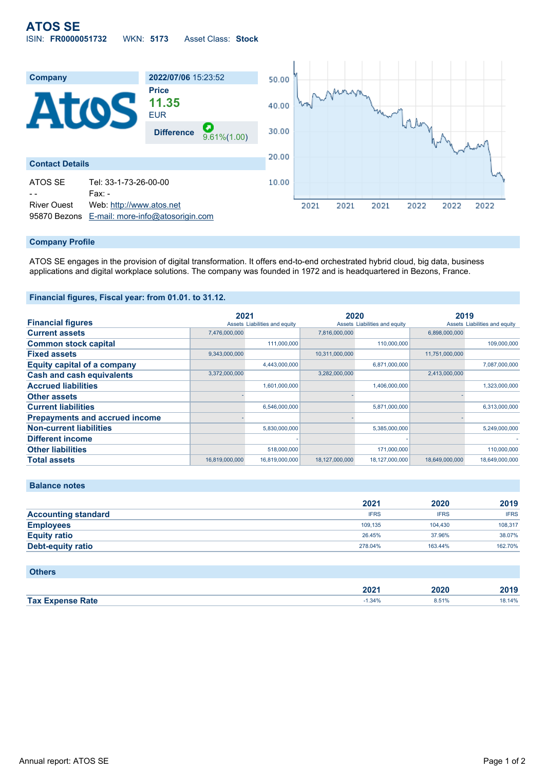

## **Company Profile**

ATOS SE engages in the provision of digital transformation. It offers end-to-end orchestrated hybrid cloud, big data, business applications and digital workplace solutions. The company was founded in 1972 and is headquartered in Bezons, France.

## **Financial figures, Fiscal year: from 01.01. to 31.12.**

|                                       | 2021           |                               | 2020           |                               | 2019           |                               |
|---------------------------------------|----------------|-------------------------------|----------------|-------------------------------|----------------|-------------------------------|
| <b>Financial figures</b>              |                | Assets Liabilities and equity |                | Assets Liabilities and equity |                | Assets Liabilities and equity |
| <b>Current assets</b>                 | 7,476,000,000  |                               | 7,816,000,000  |                               | 6,898,000,000  |                               |
| <b>Common stock capital</b>           |                | 111.000.000                   |                | 110,000,000                   |                | 109,000,000                   |
| <b>Fixed assets</b>                   | 9,343,000,000  |                               | 10,311,000,000 |                               | 11,751,000,000 |                               |
| <b>Equity capital of a company</b>    |                | 4,443,000,000                 |                | 6,871,000,000                 |                | 7,087,000,000                 |
| <b>Cash and cash equivalents</b>      | 3,372,000,000  |                               | 3,282,000,000  |                               | 2,413,000,000  |                               |
| <b>Accrued liabilities</b>            |                | 1,601,000,000                 |                | 1,406,000,000                 |                | 1,323,000,000                 |
| <b>Other assets</b>                   |                |                               |                |                               |                |                               |
| <b>Current liabilities</b>            |                | 6,546,000,000                 |                | 5,871,000,000                 |                | 6,313,000,000                 |
| <b>Prepayments and accrued income</b> |                |                               |                |                               |                |                               |
| <b>Non-current liabilities</b>        |                | 5,830,000,000                 |                | 5,385,000,000                 |                | 5,249,000,000                 |
| <b>Different income</b>               |                |                               |                |                               |                |                               |
| <b>Other liabilities</b>              |                | 518,000,000                   |                | 171,000,000                   |                | 110,000,000                   |
| <b>Total assets</b>                   | 16,819,000,000 | 16,819,000,000                | 18,127,000,000 | 18,127,000,000                | 18,649,000,000 | 18,649,000,000                |

#### **Balance notes**

|                            | 2021        | 2020        | 2019        |
|----------------------------|-------------|-------------|-------------|
| <b>Accounting standard</b> | <b>IFRS</b> | <b>IFRS</b> | <b>IFRS</b> |
| <b>Employees</b>           | 109.135     | 104.430     | 108.317     |
| <b>Equity ratio</b>        | 26.45%      | 37.96%      | 38.07%      |
| <b>Debt-equity ratio</b>   | 278,04%     | 163.44%     | 162.70%     |

| <b>Others</b>           |          |       |        |
|-------------------------|----------|-------|--------|
|                         | 2021     | 2020  | 2019   |
| <b>Tax Expense Rate</b> | $-1.34%$ | 8.51% | 18.14% |